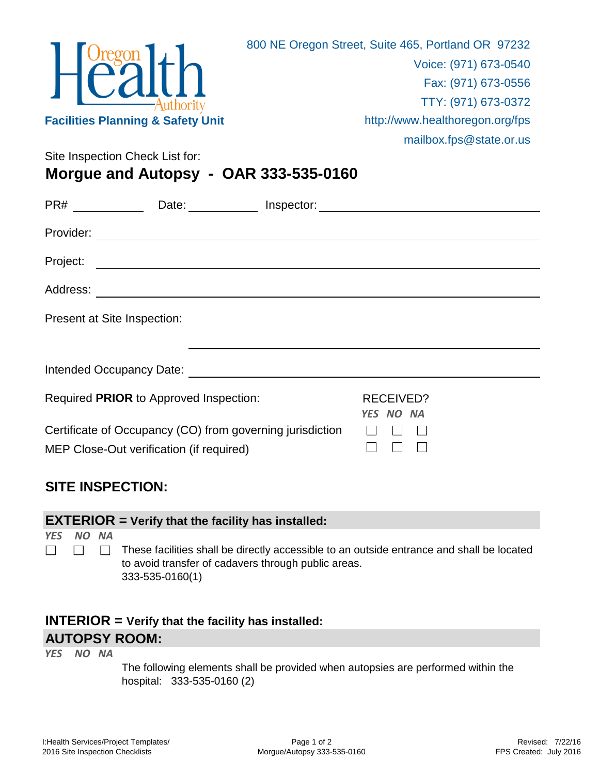

Site Inspection Check List for:

**Morgue and Autopsy - OAR 333-535-0160**

|          | Date: lnspector:                                                                                      |                        |  |
|----------|-------------------------------------------------------------------------------------------------------|------------------------|--|
|          |                                                                                                       |                        |  |
| Project: |                                                                                                       |                        |  |
|          |                                                                                                       |                        |  |
|          | Present at Site Inspection:                                                                           |                        |  |
|          |                                                                                                       |                        |  |
|          | Required PRIOR to Approved Inspection:                                                                | RECEIVED?<br>YES NO NA |  |
|          | Certificate of Occupancy (CO) from governing jurisdiction<br>MEP Close-Out verification (if required) |                        |  |

## **SITE INSPECTION:**

| <b>EXTERIOR</b> = Verify that the facility has installed: |       |  |                                                                                                                                                                     |  |  |  |  |  |
|-----------------------------------------------------------|-------|--|---------------------------------------------------------------------------------------------------------------------------------------------------------------------|--|--|--|--|--|
| <b>YFS</b>                                                | NO NA |  | These facilities shall be directly accessible to an outside entrance and shall be located<br>to avoid transfer of cadavers through public areas.<br>333-535-0160(1) |  |  |  |  |  |

## **INTERIOR = Verify that the facility has installed: AUTOPSY ROOM:**

*YES NO NA*

The following elements shall be provided when autopsies are performed within the hospital: 333-535-0160 (2)